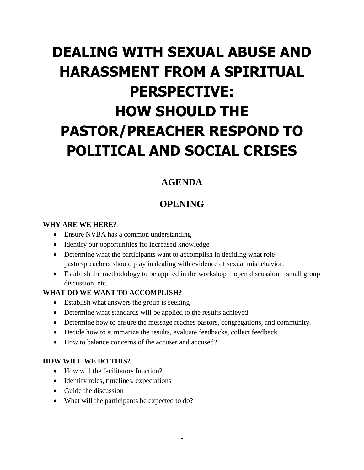# **DEALING WITH SEXUAL ABUSE AND HARASSMENT FROM A SPIRITUAL PERSPECTIVE: HOW SHOULD THE PASTOR/PREACHER RESPOND TO POLITICAL AND SOCIAL CRISES**

## **AGENDA**

### **OPENING**

#### **WHY ARE WE HERE?**

- Ensure NVBA has a common understanding
- Identify our opportunities for increased knowledge
- Determine what the participants want to accomplish in deciding what role pastor/preachers should play in dealing with evidence of sexual misbehavior.
- Establish the methodology to be applied in the workshop open discussion small group discussion, etc.

#### **WHAT DO WE WANT TO ACCOMPLISH?**

- Establish what answers the group is seeking
- Determine what standards will be applied to the results achieved
- Determine how to ensure the message reaches pastors, congregations, and community.
- Decide how to summarize the results, evaluate feedbacks, collect feedback
- How to balance concerns of the accuser and accused?

#### **HOW WILL WE DO THIS?**

- How will the facilitators function?
- Identify roles, timelines, expectations
- Guide the discussion
- What will the participants be expected to do?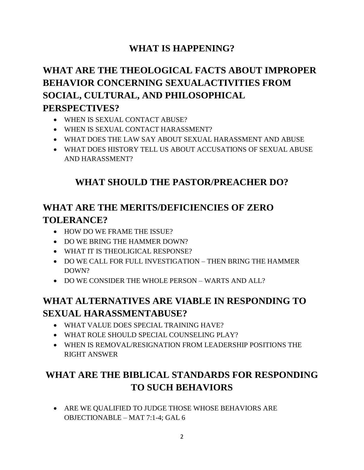## **WHAT IS HAPPENING?**

# **WHAT ARE THE THEOLOGICAL FACTS ABOUT IMPROPER BEHAVIOR CONCERNING SEXUALACTIVITIES FROM SOCIAL, CULTURAL, AND PHILOSOPHICAL PERSPECTIVES?**

- WHEN IS SEXUAL CONTACT ABUSE?
- WHEN IS SEXUAL CONTACT HARASSMENT?
- WHAT DOES THE LAW SAY ABOUT SEXUAL HARASSMENT AND ABUSE
- WHAT DOES HISTORY TELL US ABOUT ACCUSATIONS OF SEXUAL ABUSE AND HARASSMENT?

# **WHAT SHOULD THE PASTOR/PREACHER DO?**

# **WHAT ARE THE MERITS/DEFICIENCIES OF ZERO TOLERANCE?**

- HOW DO WE FRAME THE ISSUE?
- DO WE BRING THE HAMMER DOWN?
- WHAT IT IS THEOLIGICAL RESPONSE?
- DO WE CALL FOR FULL INVESTIGATION THEN BRING THE HAMMER DOWN?
- DO WE CONSIDER THE WHOLE PERSON WARTS AND ALL?

# **WHAT ALTERNATIVES ARE VIABLE IN RESPONDING TO SEXUAL HARASSMENTABUSE?**

- WHAT VALUE DOES SPECIAL TRAINING HAVE?
- WHAT ROLE SHOULD SPECIAL COUNSELING PLAY?
- WHEN IS REMOVAL/RESIGNATION FROM LEADERSHIP POSITIONS THE RIGHT ANSWER

# **WHAT ARE THE BIBLICAL STANDARDS FOR RESPONDING TO SUCH BEHAVIORS**

 ARE WE QUALIFIED TO JUDGE THOSE WHOSE BEHAVIORS ARE OBJECTIONABLE – MAT 7:1-4; GAL 6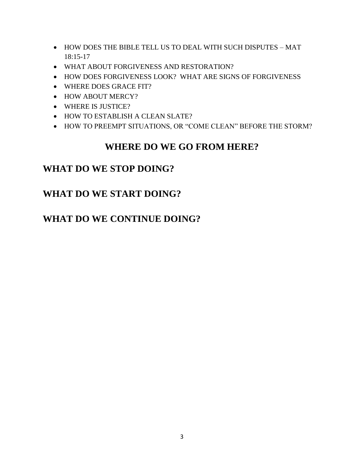- HOW DOES THE BIBLE TELL US TO DEAL WITH SUCH DISPUTES MAT 18:15-17
- WHAT ABOUT FORGIVENESS AND RESTORATION?
- HOW DOES FORGIVENESS LOOK? WHAT ARE SIGNS OF FORGIVENESS
- WHERE DOES GRACE FIT?
- HOW ABOUT MERCY?
- WHERE IS JUSTICE?
- HOW TO ESTABLISH A CLEAN SLATE?
- HOW TO PREEMPT SITUATIONS, OR "COME CLEAN" BEFORE THE STORM?

### **WHERE DO WE GO FROM HERE?**

### **WHAT DO WE STOP DOING?**

# **WHAT DO WE START DOING?**

### **WHAT DO WE CONTINUE DOING?**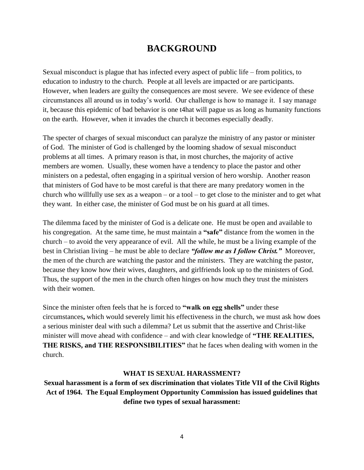### **BACKGROUND**

Sexual misconduct is plague that has infected every aspect of public life – from politics, to education to industry to the church. People at all levels are impacted or are participants. However, when leaders are guilty the consequences are most severe. We see evidence of these circumstances all around us in today's world. Our challenge is how to manage it. I say manage it, because this epidemic of bad behavior is one t4hat will pague us as long as humanity functions on the earth. However, when it invades the church it becomes especially deadly.

The specter of charges of sexual misconduct can paralyze the ministry of any pastor or minister of God. The minister of God is challenged by the looming shadow of sexual misconduct problems at all times. A primary reason is that, in most churches, the majority of active members are women. Usually, these women have a tendency to place the pastor and other ministers on a pedestal, often engaging in a spiritual version of hero worship. Another reason that ministers of God have to be most careful is that there are many predatory women in the church who willfully use sex as a weapon – or a tool – to get close to the minister and to get what they want. In either case, the minister of God must be on his guard at all times.

The dilemma faced by the minister of God is a delicate one. He must be open and available to his congregation. At the same time, he must maintain a **"safe"** distance from the women in the church – to avoid the very appearance of evil. All the while, he must be a living example of the best in Christian living – he must be able to declare *"follow me as I follow Christ."* Moreover, the men of the church are watching the pastor and the ministers. They are watching the pastor, because they know how their wives, daughters, and girlfriends look up to the ministers of God. Thus, the support of the men in the church often hinges on how much they trust the ministers with their women.

Since the minister often feels that he is forced to **"walk on egg shells"** under these circumstances**,** which would severely limit his effectiveness in the church, we must ask how does a serious minister deal with such a dilemma? Let us submit that the assertive and Christ-like minister will move ahead with confidence – and with clear knowledge of **"THE REALITIES, THE RISKS, and THE RESPONSIBILITIES"** that he faces when dealing with women in the church.

#### **WHAT IS SEXUAL HARASSMENT?**

**Sexual harassment is a form of sex discrimination that violates Title VII of the Civil Rights Act of 1964. The Equal Employment Opportunity Commission has issued guidelines that define two types of sexual harassment:**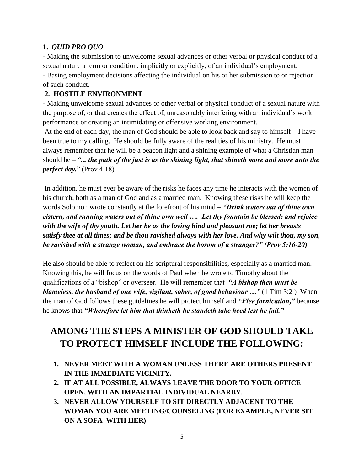#### **1.** *QUID PRO QUO*

- Making the submission to unwelcome sexual advances or other verbal or physical conduct of a sexual nature a term or condition, implicitly or explicitly, of an individual's employment.

- Basing employment decisions affecting the individual on his or her submission to or rejection of such conduct.

#### **2. HOSTILE ENVIRONMENT**

- Making unwelcome sexual advances or other verbal or physical conduct of a sexual nature with the purpose of, or that creates the effect of, unreasonably interfering with an individual's work performance or creating an intimidating or offensive working environment.

At the end of each day, the man of God should be able to look back and say to himself – I have been true to my calling. He should be fully aware of the realities of his ministry. He must always remember that he will be a beacon light and a shining example of what a Christian man should be *– "... the path of the just is as the shining light, that shineth more and more unto the perfect day.*" (Prov 4:18)

In addition, he must ever be aware of the risks he faces any time he interacts with the women of his church, both as a man of God and as a married man. Knowing these risks he will keep the words Solomon wrote constantly at the forefront of his mind – *"Drink waters out of thine own cistern, and running waters out of thine own well …. Let thy fountain be blessed: and rejoice with the wife of thy youth. Let her be as the loving hind and pleasant roe; let her breasts satisfy thee at all times; and be thou ravished always with her love. And why wilt thou, my son, be ravished with a strange woman, and embrace the bosom of a stranger?" (Prov 5:16-20)* 

He also should be able to reflect on his scriptural responsibilities, especially as a married man. Knowing this, he will focus on the words of Paul when he wrote to Timothy about the qualifications of a "bishop" or overseer. He will remember that *"A bishop then must be blameless, the husband of one wife, vigilant, sober, of good behaviour ...*" (1 Tim 3:2) When the man of God follows these guidelines he will protect himself and *"Flee fornication,"* because he knows that *"Wherefore let him that thinketh he standeth take heed lest he fall."* 

# **AMONG THE STEPS A MINISTER OF GOD SHOULD TAKE TO PROTECT HIMSELF INCLUDE THE FOLLOWING:**

- **1. NEVER MEET WITH A WOMAN UNLESS THERE ARE OTHERS PRESENT IN THE IMMEDIATE VICINITY.**
- **2. IF AT ALL POSSIBLE, ALWAYS LEAVE THE DOOR TO YOUR OFFICE OPEN, WITH AN IMPARTIAL INDIVIDUAL NEARBY.**
- **3. NEVER ALLOW YOURSELF TO SIT DIRECTLY ADJACENT TO THE WOMAN YOU ARE MEETING/COUNSELING (FOR EXAMPLE, NEVER SIT ON A SOFA WITH HER)**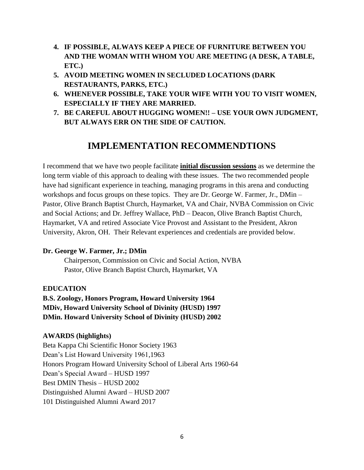- **4. IF POSSIBLE, ALWAYS KEEP A PIECE OF FURNITURE BETWEEN YOU AND THE WOMAN WITH WHOM YOU ARE MEETING (A DESK, A TABLE, ETC.)**
- **5. AVOID MEETING WOMEN IN SECLUDED LOCATIONS (DARK RESTAURANTS, PARKS, ETC.)**
- **6. WHENEVER POSSIBLE, TAKE YOUR WIFE WITH YOU TO VISIT WOMEN, ESPECIALLY IF THEY ARE MARRIED.**
- **7. BE CAREFUL ABOUT HUGGING WOMEN!! – USE YOUR OWN JUDGMENT, BUT ALWAYS ERR ON THE SIDE OF CAUTION.**

### **IMPLEMENTATION RECOMMENDTIONS**

I recommend that we have two people facilitate **initial discussion sessions** as we determine the long term viable of this approach to dealing with these issues. The two recommended people have had significant experience in teaching, managing programs in this arena and conducting workshops and focus groups on these topics. They are Dr. George W. Farmer, Jr., DMin – Pastor, Olive Branch Baptist Church, Haymarket, VA and Chair, NVBA Commission on Civic and Social Actions; and Dr. Jeffrey Wallace, PhD – Deacon, Olive Branch Baptist Church, Haymarket, VA and retired Associate Vice Provost and Assistant to the President, Akron University, Akron, OH. Their Relevant experiences and credentials are provided below.

#### **Dr. George W. Farmer, Jr.; DMin**

Chairperson, Commission on Civic and Social Action, NVBA Pastor, Olive Branch Baptist Church, Haymarket, VA

#### **EDUCATION**

**B.S. Zoology, Honors Program, Howard University 1964 MDiv, Howard University School of Divinity (HUSD) 1997 DMin. Howard University School of Divinity (HUSD) 2002**

#### **AWARDS (highlights)**

Beta Kappa Chi Scientific Honor Society 1963 Dean's List Howard University 1961,1963 Honors Program Howard University School of Liberal Arts 1960-64 Dean's Special Award – HUSD 1997 Best DMIN Thesis – HUSD 2002 Distinguished Alumni Award – HUSD 2007 101 Distinguished Alumni Award 2017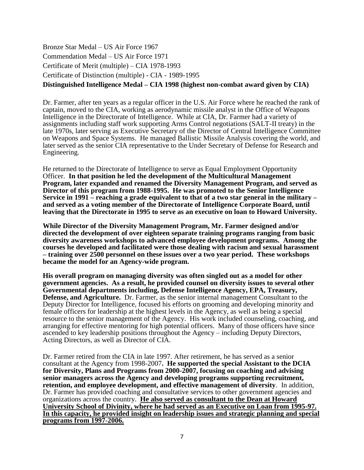Bronze Star Medal – US Air Force 1967 Commendation Medal – US Air Force 1971 Certificate of Merit (multiple) – CIA 1978-1993 Certificate of Distinction (multiple) - CIA - 1989-1995

#### **Distinguished Intelligence Medal – CIA 1998 (highest non-combat award given by CIA)**

Dr. Farmer, after ten years as a regular officer in the U.S. Air Force where he reached the rank of captain, moved to the CIA, working as aerodynamic missile analyst in the Office of Weapons Intelligence in the Directorate of Intelligence. While at CIA, Dr. Farmer had a variety of assignments including staff work supporting Arms Control negotiations (SALT-II treaty) in the late 1970s, later serving as Executive Secretary of the Director of Central Intelligence Committee on Weapons and Space Systems. He managed Ballistic Missile Analysis covering the world, and later served as the senior CIA representative to the Under Secretary of Defense for Research and Engineering.

He returned to the Directorate of Intelligence to serve as Equal Employment Opportunity Officer. **In that position he led the development of the Multicultural Management Program, later expanded and renamed the Diversity Management Program, and served as Director of this program from 1988-1995. He was promoted to the Senior Intelligence Service in 1991 – reaching a grade equivalent to that of a two star general in the military – and served as a voting member of the Directorate of Intelligence Corporate Board, until leaving that the Directorate in 1995 to serve as an executive on loan to Howard University.**

**While Director of the Diversity Management Program, Mr. Farmer designed and/or directed the development of over eighteen separate training programs ranging from basic diversity awareness workshops to advanced employee development programs. Among the courses he developed and facilitated were those dealing with racism and sexual harassment – training over 2500 personnel on these issues over a two year period. These workshops became the model for an Agency-wide program.**

**His overall program on managing diversity was often singled out as a model for other government agencies. As a result, he provided counsel on diversity issues to several other Governmental departments including, Defense Intelligence Agency, EPA, Treasury, Defense, and Agriculture.** Dr. Farmer, as the senior internal management Consultant to the Deputy Director for Intelligence, focused his efforts on grooming and developing minority and female officers for leadership at the highest levels in the Agency, as well as being a special resource to the senior management of the Agency. His work included counseling, coaching, and arranging for effective mentoring for high potential officers. Many of those officers have since ascended to key leadership positions throughout the Agency – including Deputy Directors, Acting Directors, as well as Director of CIA.

Dr. Farmer retired from the CIA in late 1997. After retirement, he has served as a senior consultant at the Agency from 1998-2007**. He supported the special Assistant to the DCIA for Diversity, Plans and Programs from 2000-2007, focusing on coaching and advising senior managers across the Agency and developing programs supporting recruitment, retention, and employee development, and effective management of diversity**. In addition, Dr. Farmer has provided coaching and consultative services to other government agencies and organizations across the country. **He also served as consultant to the Dean at Howard University School of Divinity, where he had served as an Executive on Loan from 1995-97. In this capacity, he provided insight on leadership issues and strategic planning and special programs from 1997-2006.**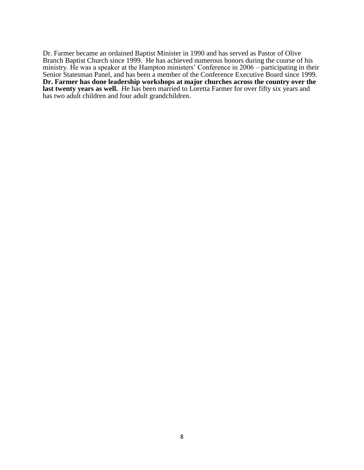Dr. Farmer became an ordained Baptist Minister in 1990 and has served as Pastor of Olive Branch Baptist Church since 1999. He has achieved numerous honors during the course of his ministry. He was a speaker at the Hampton ministers' Conference in 2006 – participating in their Senior Statesman Panel, and has been a member of the Conference Executive Board since 1999. **Dr. Farmer has done leadership workshops at major churches across the country over the**  last twenty years as well. He has been married to Loretta Farmer for over fifty six years and has two adult children and four adult grandchildren.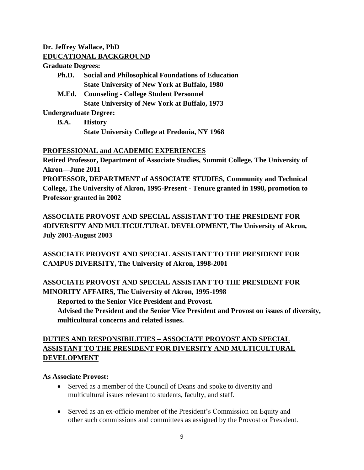#### **Dr. Jeffrey Wallace, PhD EDUCATIONAL BACKGROUND**

#### **Graduate Degrees:**

- **Ph.D. Social and Philosophical Foundations of Education State University of New York at Buffalo, 1980**
- **M.Ed. Counseling - College Student Personnel State University of New York at Buffalo, 1973**

**Undergraduate Degree:**

**B.A. History State University College at Fredonia, NY 1968**

#### **PROFESSIONAL and ACADEMIC EXPERIENCES**

**Retired Professor, Department of Associate Studies, Summit College, The University of Akron—June 2011 PROFESSOR, DEPARTMENT of ASSOCIATE STUDIES, Community and Technical** 

**College, The University of Akron, 1995-Present - Tenure granted in 1998, promotion to Professor granted in 2002**

**ASSOCIATE PROVOST AND SPECIAL ASSISTANT TO THE PRESIDENT FOR 4DIVERSITY AND MULTICULTURAL DEVELOPMENT, The University of Akron, July 2001-August 2003**

**ASSOCIATE PROVOST AND SPECIAL ASSISTANT TO THE PRESIDENT FOR CAMPUS DIVERSITY, The University of Akron, 1998-2001**

**ASSOCIATE PROVOST AND SPECIAL ASSISTANT TO THE PRESIDENT FOR MINORITY AFFAIRS, The University of Akron, 1995-1998**

**Reported to the Senior Vice President and Provost.**

**Advised the President and the Senior Vice President and Provost on issues of diversity, multicultural concerns and related issues.**

#### **DUTIES AND RESPONSIBILITIES – ASSOCIATE PROVOST AND SPECIAL ASSISTANT TO THE PRESIDENT FOR DIVERSITY AND MULTICULTURAL DEVELOPMENT**

#### **As Associate Provost:**

- Served as a member of the Council of Deans and spoke to diversity and multicultural issues relevant to students, faculty, and staff.
- Served as an ex-officio member of the President's Commission on Equity and other such commissions and committees as assigned by the Provost or President.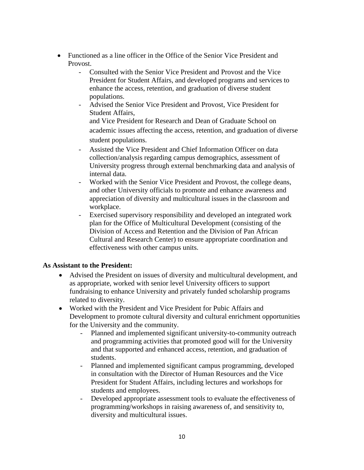- Functioned as a line officer in the Office of the Senior Vice President and Provost.
	- Consulted with the Senior Vice President and Provost and the Vice President for Student Affairs, and developed programs and services to enhance the access, retention, and graduation of diverse student populations.
	- Advised the Senior Vice President and Provost, Vice President for Student Affairs, and Vice President for Research and Dean of Graduate School on academic issues affecting the access, retention, and graduation of diverse student populations.
	- Assisted the Vice President and Chief Information Officer on data collection/analysis regarding campus demographics, assessment of University progress through external benchmarking data and analysis of internal data.
	- Worked with the Senior Vice President and Provost, the college deans, and other University officials to promote and enhance awareness and appreciation of diversity and multicultural issues in the classroom and workplace.
	- Exercised supervisory responsibility and developed an integrated work plan for the Office of Multicultural Development (consisting of the Division of Access and Retention and the Division of Pan African Cultural and Research Center) to ensure appropriate coordination and effectiveness with other campus units.

#### **As Assistant to the President:**

- Advised the President on issues of diversity and multicultural development, and as appropriate, worked with senior level University officers to support fundraising to enhance University and privately funded scholarship programs related to diversity.
- Worked with the President and Vice President for Pubic Affairs and Development to promote cultural diversity and cultural enrichment opportunities for the University and the community.
	- Planned and implemented significant university-to-community outreach and programming activities that promoted good will for the University and that supported and enhanced access, retention, and graduation of students.
	- Planned and implemented significant campus programming, developed in consultation with the Director of Human Resources and the Vice President for Student Affairs, including lectures and workshops for students and employees.
	- Developed appropriate assessment tools to evaluate the effectiveness of programming/workshops in raising awareness of, and sensitivity to, diversity and multicultural issues.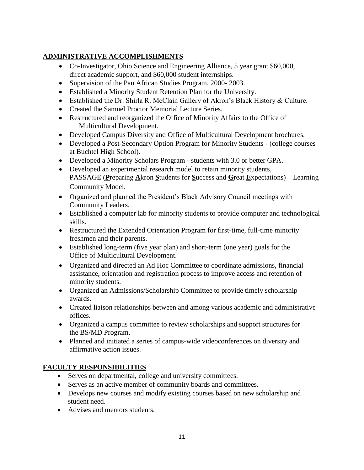#### **ADMINISTRATIVE ACCOMPLISHMENTS**

- Co-Investigator, Ohio Science and Engineering Alliance, 5 year grant \$60,000, direct academic support, and \$60,000 student internships.
- Supervision of the Pan African Studies Program, 2000-2003.
- Established a Minority Student Retention Plan for the University.
- Established the Dr. Shirla R. McClain Gallery of Akron's Black History & Culture.
- Created the Samuel Proctor Memorial Lecture Series.
- Restructured and reorganized the Office of Minority Affairs to the Office of Multicultural Development.
- Developed Campus Diversity and Office of Multicultural Development brochures.
- Developed a Post-Secondary Option Program for Minority Students (college courses at Buchtel High School).
- Developed a Minority Scholars Program students with 3.0 or better GPA.
- Developed an experimental research model to retain minority students, PASSAGE (**P**reparing **A**kron **S**tudents for **S**uccess and **G**reat **E**xpectations) – Learning Community Model.
- Organized and planned the President's Black Advisory Council meetings with Community Leaders.
- Established a computer lab for minority students to provide computer and technological skills.
- Restructured the Extended Orientation Program for first-time, full-time minority freshmen and their parents.
- Established long-term (five year plan) and short-term (one year) goals for the Office of Multicultural Development.
- Organized and directed an Ad Hoc Committee to coordinate admissions, financial assistance, orientation and registration process to improve access and retention of minority students.
- Organized an Admissions/Scholarship Committee to provide timely scholarship awards.
- Created liaison relationships between and among various academic and administrative offices.
- Organized a campus committee to review scholarships and support structures for the BS/MD Program.
- Planned and initiated a series of campus-wide videoconferences on diversity and affirmative action issues.

#### **FACULTY RESPONSIBILITIES**

- Serves on departmental, college and university committees.
- Serves as an active member of community boards and committees.
- Develops new courses and modify existing courses based on new scholarship and student need.
- Advises and mentors students.